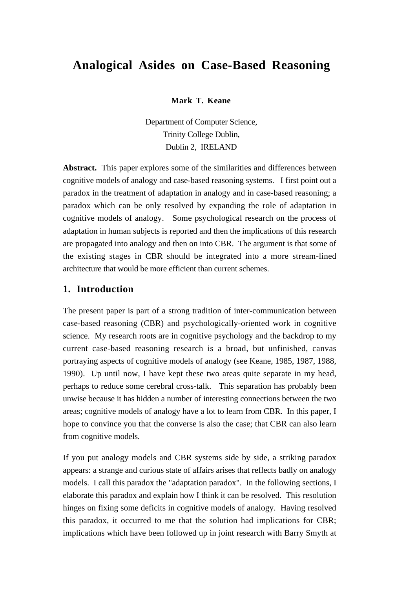# **Analogical Asides on Case-Based Reasoning**

**Mark T. Keane**

Department of Computer Science, Trinity College Dublin, Dublin 2, IRELAND

Abstract. This paper explores some of the similarities and differences between cognitive models of analogy and case-based reasoning systems. I first point out a paradox in the treatment of adaptation in analogy and in case-based reasoning; a paradox which can be only resolved by expanding the role of adaptation in cognitive models of analogy. Some psychological research on the process of adaptation in human subjects is reported and then the implications of this research are propagated into analogy and then on into CBR. The argument is that some of the existing stages in CBR should be integrated into a more stream-lined architecture that would be more efficient than current schemes.

## **1. Introduction**

The present paper is part of a strong tradition of inter-communication between case-based reasoning (CBR) and psychologically-oriented work in cognitive science. My research roots are in cognitive psychology and the backdrop to my current case-based reasoning research is a broad, but unfinished, canvas portraying aspects of cognitive models of analogy (see Keane, 1985, 1987, 1988, 1990). Up until now, I have kept these two areas quite separate in my head, perhaps to reduce some cerebral cross-talk. This separation has probably been unwise because it has hidden a number of interesting connections between the two areas; cognitive models of analogy have a lot to learn from CBR. In this paper, I hope to convince you that the converse is also the case; that CBR can also learn from cognitive models.

If you put analogy models and CBR systems side by side, a striking paradox appears: a strange and curious state of affairs arises that reflects badly on analogy models. I call this paradox the "adaptation paradox". In the following sections, I elaborate this paradox and explain how I think it can be resolved. This resolution hinges on fixing some deficits in cognitive models of analogy. Having resolved this paradox, it occurred to me that the solution had implications for CBR; implications which have been followed up in joint research with Barry Smyth at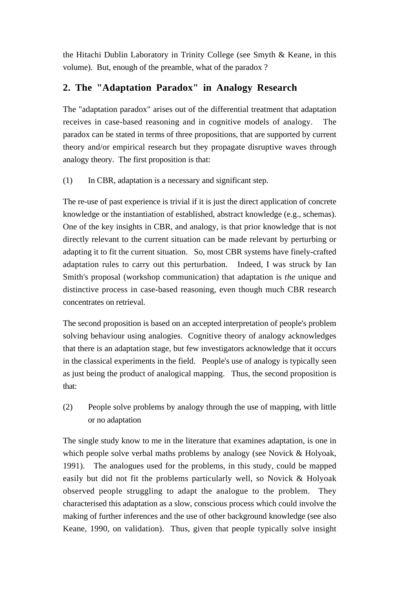the Hitachi Dublin Laboratory in Trinity College (see Smyth & Keane, in this volume). But, enough of the preamble, what of the paradox ?

## **2. The "Adaptation Paradox" in Analogy Research**

The "adaptation paradox" arises out of the differential treatment that adaptation receives in case-based reasoning and in cognitive models of analogy. paradox can be stated in terms of three propositions, that are supported by current theory and/or empirical research but they propagate disruptive waves through analogy theory. The first proposition is that:

(1) In CBR, adaptation is a necessary and significant step.

The re-use of past experience is trivial if it is just the direct application of concrete knowledge or the instantiation of established, abstract knowledge (e.g., schemas). One of the key insights in CBR, and analogy, is that prior knowledge that is not directly relevant to the current situation can be made relevant by perturbing or adapting it to fit the current situation. So, most CBR systems have finely-crafted adaptation rules to carry out this perturbation. Indeed, I was struck by Ian Smith's proposal (workshop communication) that adaptation is *the* unique and distinctive process in case-based reasoning, even though much CBR research concentrates on retrieval.

The second proposition is based on an accepted interpretation of people's problem solving behaviour using analogies. Cognitive theory of analogy acknowledges that there is an adaptation stage, but few investigators acknowledge that it occurs in the classical experiments in the field. People's use of analogy is typically seen as just being the product of analogical mapping. Thus, the second proposition is that:

(2) People solve problems by analogy through the use of mapping, with little or no adaptation

The single study know to me in the literature that examines adaptation, is one in which people solve verbal maths problems by analogy (see Novick & Holyoak, 1991). The analogues used for the problems, in this study, could be mapped easily but did not fit the problems particularly well, so Novick & Holyoak observed people struggling to adapt the analogue to the problem. They characterised this adaptation as a slow, conscious process which could involve the making of further inferences and the use of other background knowledge (see also Keane, 1990, on validation). Thus, given that people typically solve insight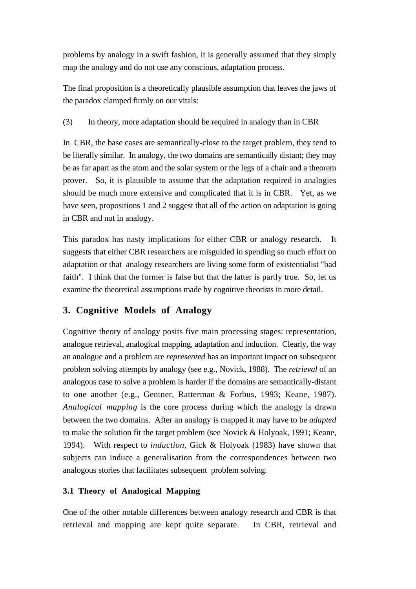problems by analogy in a swift fashion, it is generally assumed that they simply map the analogy and do not use any conscious, adaptation process.

The final proposition is a theoretically plausible assumption that leaves the jaws of the paradox clamped firmly on our vitals:

### (3) In theory, more adaptation should be required in analogy than in CBR

In CBR, the base cases are semantically-close to the target problem, they tend to be literally similar. In analogy, the two domains are semantically distant; they may be as far apart as the atom and the solar system or the legs of a chair and a theorem prover. So, it is plausible to assume that the adaptation required in analogies should be much more extensive and complicated that it is in CBR. Yet, as we have seen, propositions 1 and 2 suggest that all of the action on adaptation is going in CBR and not in analogy.

This paradox has nasty implications for either CBR or analogy research. It suggests that either CBR researchers are misguided in spending so much effort on adaptation or that analogy researchers are living some form of existentialist "bad faith". I think that the former is false but that the latter is partly true. So, let us examine the theoretical assumptions made by cognitive theorists in more detail.

## **3. Cognitive Models of Analogy**

Cognitive theory of analogy posits five main processing stages: representation, analogue retrieval, analogical mapping, adaptation and induction. Clearly, the way an analogue and a problem are *represented* has an important impact on subsequent problem solving attempts by analogy (see e.g., Novick, 1988). The *retrieval* of an analogous case to solve a problem is harder if the domains are semantically-distant to one another (e.g., Gentner, Ratterman & Forbus, 1993; Keane, 1987). *Analogical mapping* is the core process during which the analogy is drawn between the two domains. After an analogy is mapped it may have to be *adapted* to make the solution fit the target problem (see Novick & Holyoak, 1991; Keane, 1994). With respect to *induction*, Gick & Holyoak (1983) have shown that subjects can induce a generalisation from the correspondences between two analogous stories that facilitates subsequent problem solving.

## **3.1 Theory of Analogical Mapping**

One of the other notable differences between analogy research and CBR is that retrieval and mapping are kept quite separate. In CBR, retrieval and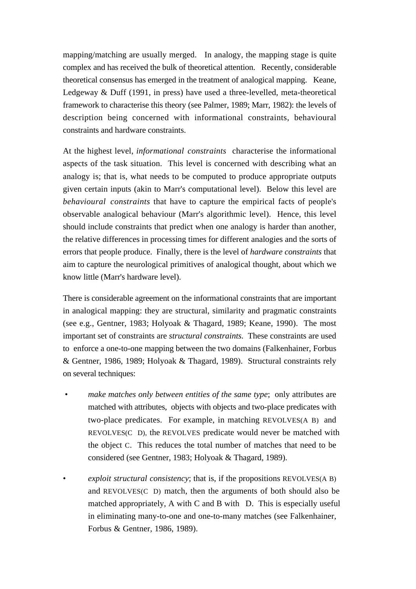mapping/matching are usually merged. In analogy, the mapping stage is quite complex and has received the bulk of theoretical attention. Recently, considerable theoretical consensus has emerged in the treatment of analogical mapping. Keane, Ledgeway & Duff (1991, in press) have used a three-levelled, meta-theoretical framework to characterise this theory (see Palmer, 1989; Marr, 1982): the levels of description being concerned with informational constraints, behavioural constraints and hardware constraints.

At the highest level, *informational constraints* characterise the informational aspects of the task situation. This level is concerned with describing what an analogy is; that is, what needs to be computed to produce appropriate outputs given certain inputs (akin to Marr's computational level). Below this level are *behavioural constraints* that have to capture the empirical facts of people's observable analogical behaviour (Marr's algorithmic level). Hence, this level should include constraints that predict when one analogy is harder than another, the relative differences in processing times for different analogies and the sorts of errors that people produce. Finally, there is the level of *hardware constraints* that aim to capture the neurological primitives of analogical thought, about which we know little (Marr's hardware level).

There is considerable agreement on the informational constraints that are important in analogical mapping: they are structural, similarity and pragmatic constraints (see e.g., Gentner, 1983; Holyoak & Thagard, 1989; Keane, 1990). The most important set of constraints are *structural constraints.* These constraints are used to enforce a one-to-one mapping between the two domains (Falkenhainer, Forbus & Gentner, 1986, 1989; Holyoak & Thagard, 1989). Structural constraints rely on several techniques:

- *make matches only between entities of the same type*; only attributes are matched with attributes, objects with objects and two-place predicates with two-place predicates. For example, in matching REVOLVES(A B) and REVOLVES(C D), the REVOLVES predicate would never be matched with the object C. This reduces the total number of matches that need to be considered (see Gentner, 1983; Holyoak & Thagard, 1989).
- *exploit structural consistency*; that is, if the propositions REVOLVES(A B) and REVOLVES(C D) match, then the arguments of both should also be matched appropriately, A with C and B with D. This is especially useful in eliminating many-to-one and one-to-many matches (see Falkenhainer, Forbus & Gentner, 1986, 1989).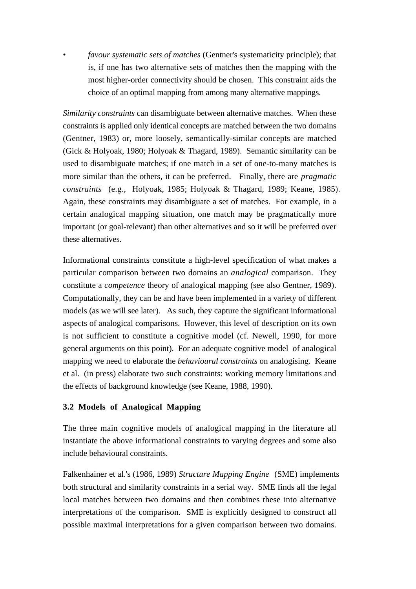• *favour systematic sets of matches* (Gentner's systematicity principle); that is, if one has two alternative sets of matches then the mapping with the most higher-order connectivity should be chosen. This constraint aids the choice of an optimal mapping from among many alternative mappings.

*Similarity constraints* can disambiguate between alternative matches. When these constraints is applied only identical concepts are matched between the two domains (Gentner, 1983) or, more loosely, semantically-similar concepts are matched (Gick & Holyoak, 1980; Holyoak & Thagard, 1989). Semantic similarity can be used to disambiguate matches; if one match in a set of one-to-many matches is more similar than the others, it can be preferred. Finally, there are *pragmatic constraints* (e.g., Holyoak, 1985; Holyoak & Thagard, 1989; Keane, 1985). Again, these constraints may disambiguate a set of matches. For example, in a certain analogical mapping situation, one match may be pragmatically more important (or goal-relevant) than other alternatives and so it will be preferred over these alternatives.

Informational constraints constitute a high-level specification of what makes a particular comparison between two domains an *analogical* comparison. They constitute a *competence* theory of analogical mapping (see also Gentner, 1989). Computationally, they can be and have been implemented in a variety of different models (as we will see later). As such, they capture the significant informational aspects of analogical comparisons. However, this level of description on its own is not sufficient to constitute a cognitive model (cf. Newell, 1990, for more general arguments on this point). For an adequate cognitive model of analogical mapping we need to elaborate the *behavioural constraints* on analogising. Keane et al. (in press) elaborate two such constraints: working memory limitations and the effects of background knowledge (see Keane, 1988, 1990).

### **3.2 Models of Analogical Mapping**

The three main cognitive models of analogical mapping in the literature all instantiate the above informational constraints to varying degrees and some also include behavioural constraints.

Falkenhainer et al.'s (1986, 1989) *Structure Mapping Engine*(SME) implements both structural and similarity constraints in a serial way. SME finds all the legal local matches between two domains and then combines these into alternative interpretations of the comparison. SME is explicitly designed to construct all possible maximal interpretations for a given comparison between two domains.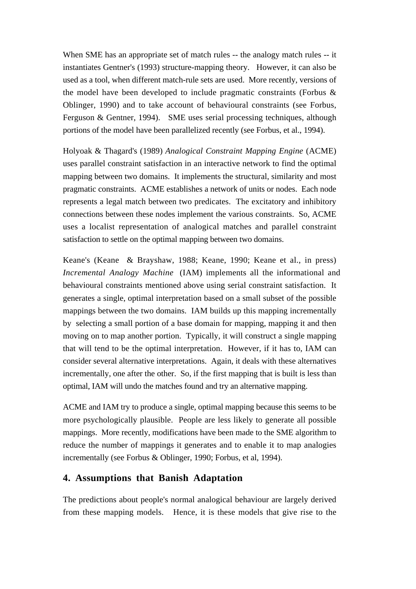When SME has an appropriate set of match rules -- the analogy match rules -- it instantiates Gentner's (1993) structure-mapping theory. However, it can also be used as a tool, when different match-rule sets are used. More recently, versions of the model have been developed to include pragmatic constraints (Forbus & Oblinger, 1990) and to take account of behavioural constraints (see Forbus, Ferguson & Gentner, 1994). SME uses serial processing techniques, although portions of the model have been parallelized recently (see Forbus, et al., 1994).

Holyoak & Thagard's (1989) *Analogical Constraint Mapping Engine* (ACME) uses parallel constraint satisfaction in an interactive network to find the optimal mapping between two domains. It implements the structural, similarity and most pragmatic constraints. ACME establishes a network of units or nodes. Each node represents a legal match between two predicates. The excitatory and inhibitory connections between these nodes implement the various constraints. So, ACME uses a localist representation of analogical matches and parallel constraint satisfaction to settle on the optimal mapping between two domains.

Keane's (Keane & Brayshaw, 1988; Keane, 1990; Keane et al., in press) *Incremental Analogy Machine* (IAM) implements all the informational and behavioural constraints mentioned above using serial constraint satisfaction. It generates a single, optimal interpretation based on a small subset of the possible mappings between the two domains. IAM builds up this mapping incrementally by selecting a small portion of a base domain for mapping, mapping it and then moving on to map another portion. Typically, it will construct a single mapping that will tend to be the optimal interpretation. However, if it has to, IAM can consider several alternative interpretations. Again, it deals with these alternatives incrementally, one after the other. So, if the first mapping that is built is less than optimal, IAM will undo the matches found and try an alternative mapping.

ACME and IAM try to produce a single, optimal mapping because this seems to be more psychologically plausible. People are less likely to generate all possible mappings. More recently, modifications have been made to the SME algorithm to reduce the number of mappings it generates and to enable it to map analogies incrementally (see Forbus & Oblinger, 1990; Forbus, et al, 1994).

## **4. Assumptions that Banish Adaptation**

The predictions about people's normal analogical behaviour are largely derived from these mapping models. Hence, it is these models that give rise to the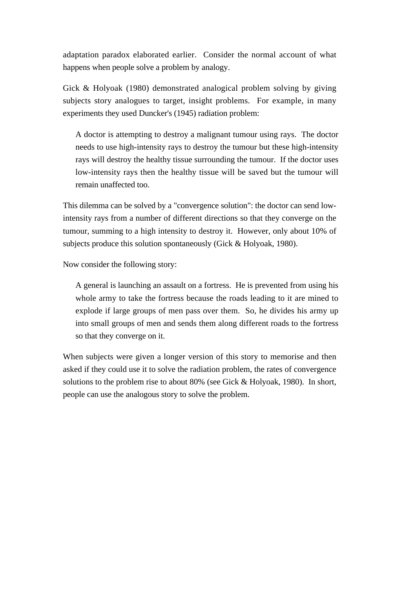adaptation paradox elaborated earlier. Consider the normal account of what happens when people solve a problem by analogy.

Gick & Holyoak (1980) demonstrated analogical problem solving by giving subjects story analogues to target, insight problems. For example, in many experiments they used Duncker's (1945) radiation problem:

A doctor is attempting to destroy a malignant tumour using rays. The doctor needs to use high-intensity rays to destroy the tumour but these high-intensity rays will destroy the healthy tissue surrounding the tumour. If the doctor uses low-intensity rays then the healthy tissue will be saved but the tumour will remain unaffected too.

This dilemma can be solved by a "convergence solution": the doctor can send lowintensity rays from a number of different directions so that they converge on the tumour, summing to a high intensity to destroy it. However, only about 10% of subjects produce this solution spontaneously (Gick & Holyoak, 1980).

Now consider the following story:

A general is launching an assault on a fortress. He is prevented from using his whole army to take the fortress because the roads leading to it are mined to explode if large groups of men pass over them. So, he divides his army up into small groups of men and sends them along different roads to the fortress so that they converge on it.

When subjects were given a longer version of this story to memorise and then asked if they could use it to solve the radiation problem, the rates of convergence solutions to the problem rise to about 80% (see Gick & Holyoak, 1980). In short, people can use the analogous story to solve the problem.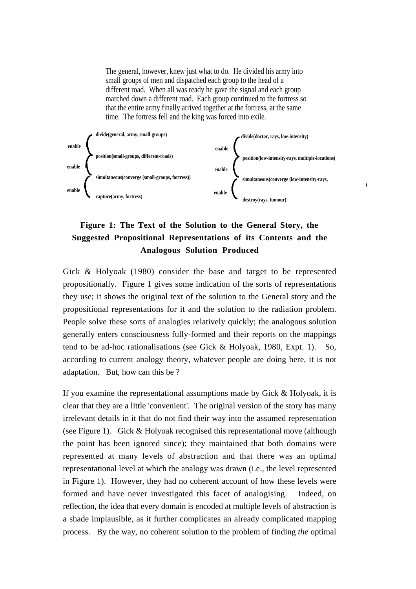The general, however, knew just what to do. He divided his army into small groups of men and dispatched each group to the head of a different road. When all was ready he gave the signal and each group marched down a different road. Each group continued to the fortress so that the entire army finally arrived together at the fortress, at the same time. The fortress fell and the king was forced into exile.



## **Figure 1: The Text of the Solution to the General Story, the Suggested Propositional Representations of its Contents and the Analogous Solution Produced**

Gick & Holyoak (1980) consider the base and target to be represented propositionally. Figure 1 gives some indication of the sorts of representations they use; it shows the original text of the solution to the General story and the propositional representations for it and the solution to the radiation problem. People solve these sorts of analogies relatively quickly; the analogous solution generally enters consciousness fully-formed and their reports on the mappings tend to be ad-hoc rationalisations (see Gick & Holyoak, 1980, Expt. 1). So, according to current analogy theory, whatever people are doing here, it is not adaptation. But, how can this be ?

If you examine the representational assumptions made by Gick & Holyoak, it is clear that they are a little 'convenient'. The original version of the story has many irrelevant details in it that do not find their way into the assumed representation (see Figure 1). Gick & Holyoak recognised this representational move (although the point has been ignored since); they maintained that both domains were represented at many levels of abstraction and that there was an optimal representational level at which the analogy was drawn (i.e., the level represented in Figure 1). However, they had no coherent account of how these levels were formed and have never investigated this facet of analogising. Indeed, on reflection, the idea that every domain is encoded at multiple levels of abstraction is a shade implausible, as it further complicates an already complicated mapping process. By the way, no coherent solution to the problem of finding *the* optimal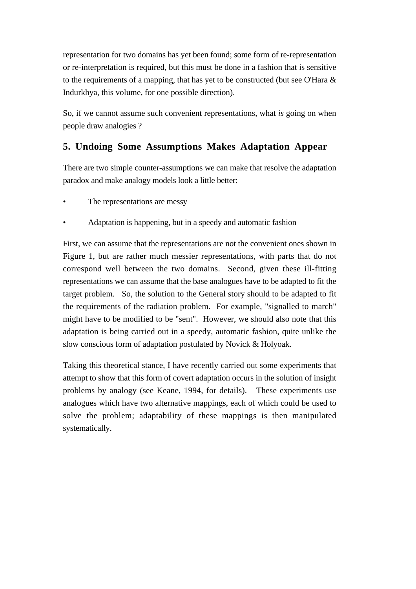representation for two domains has yet been found; some form of re-representation or re-interpretation is required, but this must be done in a fashion that is sensitive to the requirements of a mapping, that has yet to be constructed (but see O'Hara & Indurkhya, this volume, for one possible direction).

So, if we cannot assume such convenient representations, what *is* going on when people draw analogies ?

## **5. Undoing Some Assumptions Makes Adaptation Appear**

There are two simple counter-assumptions we can make that resolve the adaptation paradox and make analogy models look a little better:

- The representations are messy
- Adaptation is happening, but in a speedy and automatic fashion

First, we can assume that the representations are not the convenient ones shown in Figure 1, but are rather much messier representations, with parts that do not correspond well between the two domains. Second, given these ill-fitting representations we can assume that the base analogues have to be adapted to fit the target problem. So, the solution to the General story should to be adapted to fit the requirements of the radiation problem. For example, "signalled to march" might have to be modified to be "sent". However, we should also note that this adaptation is being carried out in a speedy, automatic fashion, quite unlike the slow conscious form of adaptation postulated by Novick & Holyoak.

Taking this theoretical stance, I have recently carried out some experiments that attempt to show that this form of covert adaptation occurs in the solution of insight problems by analogy (see Keane, 1994, for details). These experiments use analogues which have two alternative mappings, each of which could be used to solve the problem; adaptability of these mappings is then manipulated systematically.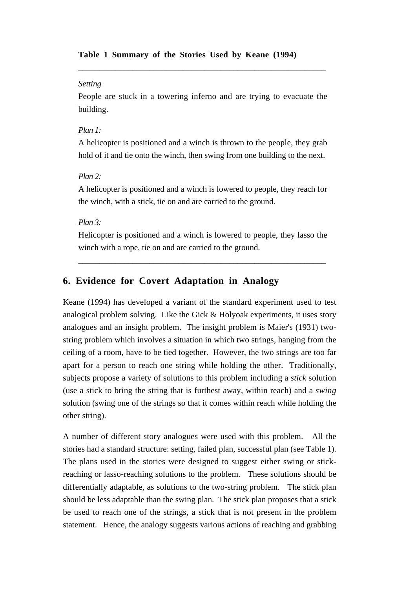#### *Setting*

People are stuck in a towering inferno and are trying to evacuate the building.

\_\_\_\_\_\_\_\_\_\_\_\_\_\_\_\_\_\_\_\_\_\_\_\_\_\_\_\_\_\_\_\_\_\_\_\_\_\_\_\_\_\_\_\_\_\_\_\_\_\_\_\_\_\_\_\_\_\_\_

#### *Plan 1:*

A helicopter is positioned and a winch is thrown to the people, they grab hold of it and tie onto the winch, then swing from one building to the next.

#### *Plan 2:*

A helicopter is positioned and a winch is lowered to people, they reach for the winch, with a stick, tie on and are carried to the ground.

*Plan 3:*

Helicopter is positioned and a winch is lowered to people, they lasso the winch with a rope, tie on and are carried to the ground.

\_\_\_\_\_\_\_\_\_\_\_\_\_\_\_\_\_\_\_\_\_\_\_\_\_\_\_\_\_\_\_\_\_\_\_\_\_\_\_\_\_\_\_\_\_\_\_\_\_\_\_\_\_\_\_\_\_\_\_

## **6. Evidence for Covert Adaptation in Analogy**

Keane (1994) has developed a variant of the standard experiment used to test analogical problem solving. Like the Gick & Holyoak experiments, it uses story analogues and an insight problem. The insight problem is Maier's (1931) twostring problem which involves a situation in which two strings, hanging from the ceiling of a room, have to be tied together. However, the two strings are too far apart for a person to reach one string while holding the other. Traditionally, subjects propose a variety of solutions to this problem including a *stick* solution (use a stick to bring the string that is furthest away, within reach) and a *swing* solution (swing one of the strings so that it comes within reach while holding the other string).

A number of different story analogues were used with this problem. All the stories had a standard structure: setting, failed plan, successful plan (see Table 1). The plans used in the stories were designed to suggest either swing or stickreaching or lasso-reaching solutions to the problem. These solutions should be differentially adaptable, as solutions to the two-string problem. The stick plan should be less adaptable than the swing plan. The stick plan proposes that a stick be used to reach one of the strings, a stick that is not present in the problem statement. Hence, the analogy suggests various actions of reaching and grabbing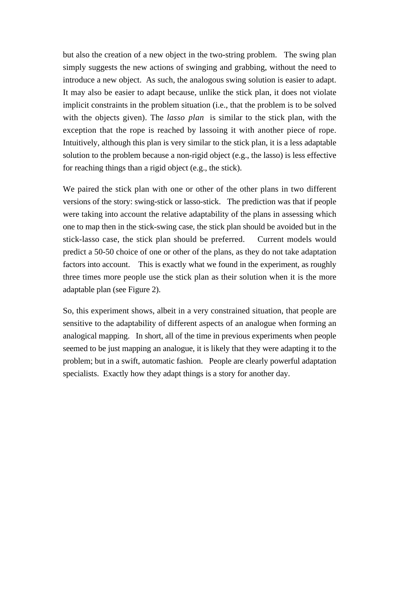but also the creation of a new object in the two-string problem. The swing plan simply suggests the new actions of swinging and grabbing, without the need to introduce a new object. As such, the analogous swing solution is easier to adapt. It may also be easier to adapt because, unlike the stick plan, it does not violate implicit constraints in the problem situation (i.e., that the problem is to be solved with the objects given). The *lasso plan* is similar to the stick plan, with the exception that the rope is reached by lassoing it with another piece of rope. Intuitively, although this plan is very similar to the stick plan, it is a less adaptable solution to the problem because a non-rigid object (e.g., the lasso) is less effective for reaching things than a rigid object (e.g., the stick).

We paired the stick plan with one or other of the other plans in two different versions of the story: swing-stick or lasso-stick. The prediction was that if people were taking into account the relative adaptability of the plans in assessing which one to map then in the stick-swing case, the stick plan should be avoided but in the stick-lasso case, the stick plan should be preferred. Current models would predict a 50-50 choice of one or other of the plans, as they do not take adaptation factors into account. This is exactly what we found in the experiment, as roughly three times more people use the stick plan as their solution when it is the more adaptable plan (see Figure 2).

So, this experiment shows, albeit in a very constrained situation, that people are sensitive to the adaptability of different aspects of an analogue when forming an analogical mapping. In short, all of the time in previous experiments when people seemed to be just mapping an analogue, it is likely that they were adapting it to the problem; but in a swift, automatic fashion. People are clearly powerful adaptation specialists. Exactly how they adapt things is a story for another day.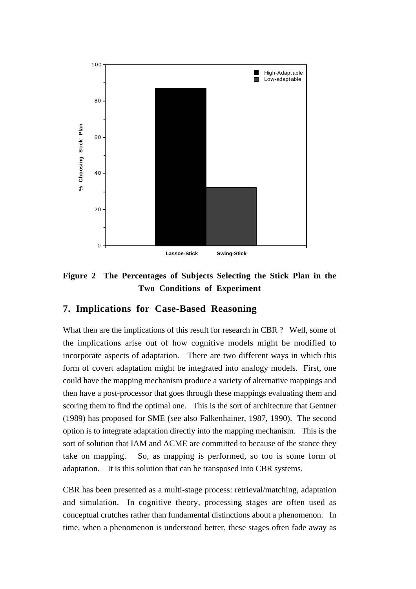

**Figure 2 The Percentages of Subjects Selecting the Stick Plan in the Two Conditions of Experiment**

### **7. Implications for Case-Based Reasoning**

What then are the implications of this result for research in CBR ? Well, some of the implications arise out of how cognitive models might be modified to incorporate aspects of adaptation. There are two different ways in which this form of covert adaptation might be integrated into analogy models. First, one could have the mapping mechanism produce a variety of alternative mappings and then have a post-processor that goes through these mappings evaluating them and scoring them to find the optimal one. This is the sort of architecture that Gentner (1989) has proposed for SME (see also Falkenhainer, 1987, 1990). The second option is to integrate adaptation directly into the mapping mechanism. This is the sort of solution that IAM and ACME are committed to because of the stance they take on mapping. So, as mapping is performed, so too is some form of adaptation. It is this solution that can be transposed into CBR systems.

CBR has been presented as a multi-stage process: retrieval/matching, adaptation and simulation. In cognitive theory, processing stages are often used as conceptual crutches rather than fundamental distinctions about a phenomenon. In time, when a phenomenon is understood better, these stages often fade away as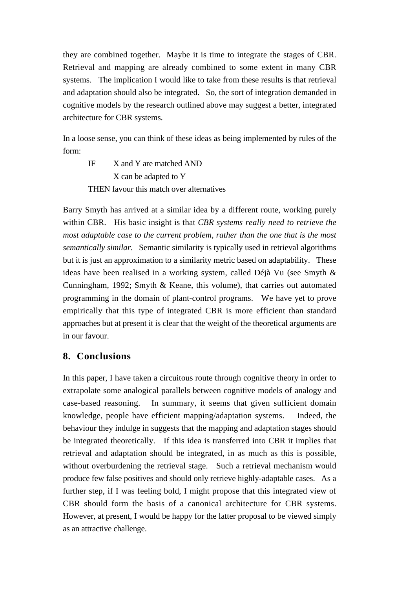they are combined together. Maybe it is time to integrate the stages of CBR. Retrieval and mapping are already combined to some extent in many CBR systems. The implication I would like to take from these results is that retrieval and adaptation should also be integrated. So, the sort of integration demanded in cognitive models by the research outlined above may suggest a better, integrated architecture for CBR systems.

In a loose sense, you can think of these ideas as being implemented by rules of the form:

IF X and Y are matched AND X can be adapted to Y THEN favour this match over alternatives

Barry Smyth has arrived at a similar idea by a different route, working purely within CBR. His basic insight is that *CBR systems really need to retrieve the most adaptable case to the current problem, rather than the one that is the most semantically similar*. Semantic similarity is typically used in retrieval algorithms but it is just an approximation to a similarity metric based on adaptability. These ideas have been realised in a working system, called Déjà Vu (see Smyth & Cunningham, 1992; Smyth & Keane, this volume), that carries out automated programming in the domain of plant-control programs. We have yet to prove empirically that this type of integrated CBR is more efficient than standard approaches but at present it is clear that the weight of the theoretical arguments are in our favour.

## **8. Conclusions**

In this paper, I have taken a circuitous route through cognitive theory in order to extrapolate some analogical parallels between cognitive models of analogy and case-based reasoning. In summary, it seems that given sufficient domain knowledge, people have efficient mapping/adaptation systems. Indeed, the behaviour they indulge in suggests that the mapping and adaptation stages should be integrated theoretically. If this idea is transferred into CBR it implies that retrieval and adaptation should be integrated, in as much as this is possible, without overburdening the retrieval stage. Such a retrieval mechanism would produce few false positives and should only retrieve highly-adaptable cases. As a further step, if I was feeling bold, I might propose that this integrated view of CBR should form the basis of a canonical architecture for CBR systems. However, at present, I would be happy for the latter proposal to be viewed simply as an attractive challenge.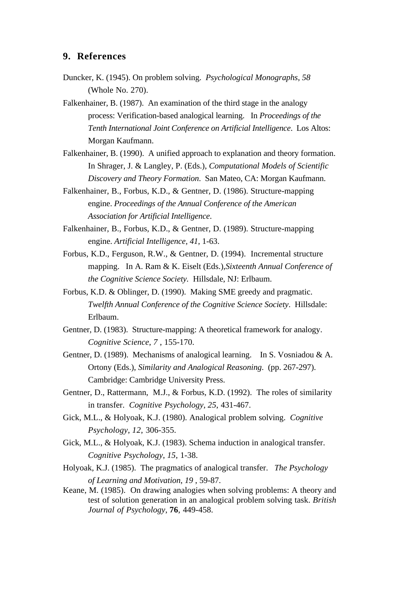#### **9. References**

- Duncker, K. (1945). On problem solving. *Psychological Monographs*, *58* (Whole No. 270).
- Falkenhainer, B. (1987). An examination of the third stage in the analogy process: Verification-based analogical learning. In *Proceedings of the Tenth International Joint Conference on Artificial Intelligence*. Los Altos: Morgan Kaufmann.
- Falkenhainer, B. (1990). A unified approach to explanation and theory formation. In Shrager, J. & Langley, P. (Eds.), *Computational Models of Scientific Discovery and Theory Formation*. San Mateo, CA: Morgan Kaufmann.
- Falkenhainer, B., Forbus, K.D., & Gentner, D. (1986). Structure-mapping engine. *Proceedings of the Annual Conference of the American Association for Artificial Intelligence*.
- Falkenhainer, B., Forbus, K.D., & Gentner, D. (1989). Structure-mapping engine. *Artificial Intelligence, 41*, 1-63.
- Forbus, K.D., Ferguson, R.W., & Gentner, D. (1994). Incremental structure mapping. In A. Ram & K. Eiselt (Eds.),*Sixteenth Annual Conference of the Cognitive Science Society.* Hillsdale, NJ: Erlbaum.
- Forbus, K.D. & Oblinger, D. (1990). Making SME greedy and pragmatic. *Twelfth Annual Conference of the Cognitive Science Society*. Hillsdale: Erlbaum.
- Gentner, D. (1983). Structure-mapping: A theoretical framework for analogy. *Cognitive Science*, *7* , 155-170.
- Gentner, D. (1989). Mechanisms of analogical learning. In S. Vosniadou & A. Ortony (Eds.), *Similarity and Analogical Reasoning*. (pp. 267-297). Cambridge: Cambridge University Press.
- Gentner, D., Rattermann, M.J., & Forbus, K.D. (1992). The roles of similarity in transfer. *Cognitive Psychology*, *25*, 431-467.
- Gick, M.L., & Holyoak, K.J. (1980). Analogical problem solving. *Cognitive Psychology*, *12*, 306-355.
- Gick, M.L., & Holyoak, K.J. (1983). Schema induction in analogical transfer. *Cognitive Psychology*, *15*, 1-38.
- Holyoak, K.J. (1985). The pragmatics of analogical transfer. *The Psychology of Learning and Motivation*, *19* , 59-87.
- Keane, M. (1985). On drawing analogies when solving problems: A theory and test of solution generation in an analogical problem solving task. *British Journal of Psychology*, **76**, 449-458.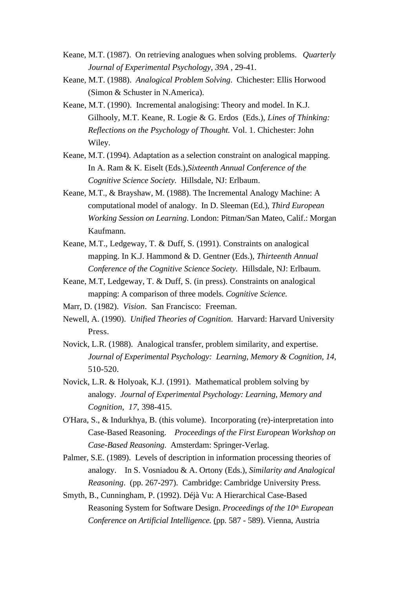- Keane, M.T. (1987). On retrieving analogues when solving problems. *Quarterly Journal of Experimental Psychology*, *39A* , 29-41.
- Keane, M.T. (1988). *Analogical Problem Solving*. Chichester: Ellis Horwood (Simon & Schuster in N.America).
- Keane, M.T. (1990). Incremental analogising: Theory and model. In K.J. Gilhooly, M.T. Keane, R. Logie & G. Erdos (Eds.), *Lines of Thinking: Reflections on the Psychology of Thought.* Vol. 1. Chichester: John Wiley.
- Keane, M.T. (1994). Adaptation as a selection constraint on analogical mapping. In A. Ram & K. Eiselt (Eds.),*Sixteenth Annual Conference of the Cognitive Science Society.* Hillsdale, NJ: Erlbaum.
- Keane, M.T., & Brayshaw, M. (1988). The Incremental Analogy Machine: A computational model of analogy. In D. Sleeman (Ed.), *Third European Working Session on Learning*. London: Pitman/San Mateo, Calif.: Morgan Kaufmann.
- Keane, M.T., Ledgeway, T. & Duff, S. (1991). Constraints on analogical mapping. In K.J. Hammond & D. Gentner (Eds.), *Thirteenth Annual Conference of the Cognitive Science Society.* Hillsdale, NJ: Erlbaum.
- Keane, M.T, Ledgeway, T. & Duff, S. (in press). Constraints on analogical mapping: A comparison of three models. *Cognitive Science.*
- Marr, D. (1982). *Vision*. San Francisco: Freeman.
- Newell, A. (1990). *Unified Theories of Cognition*. Harvard: Harvard University Press.
- Novick, L.R. (1988). Analogical transfer, problem similarity, and expertise. *Journal of Experimental Psychology: Learning, Memory & Cognition, 14*, 510-520.
- Novick, L.R. & Holyoak, K.J. (1991). Mathematical problem solving by analogy. *Journal of Experimental Psychology: Learning, Memory and Cognition*, *17*, 398-415.
- O'Hara, S., & Indurkhya, B. (this volume). Incorporating (re)-interpretation into Case-Based Reasoning. *Proceedings of the First European Workshop on Case-Based Reasoning*. Amsterdam: Springer-Verlag.
- Palmer, S.E. (1989). Levels of description in information processing theories of analogy. In S. Vosniadou & A. Ortony (Eds.), *Similarity and Analogical Reasoning*. (pp. 267-297). Cambridge: Cambridge University Press.
- Smyth, B., Cunningham, P. (1992). Déjà Vu: A Hierarchical Case-Based Reasoning System for Software Design. *Proceedings of the 10th European Conference on Artificial Intelligence.* (pp. 587 - 589). Vienna, Austria